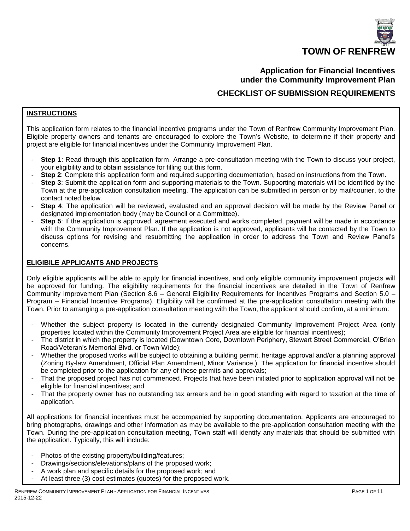

# **Application for Financial Incentives under the Community Improvement Plan CHECKLIST OF SUBMISSION REQUIREMENTS**

#### **INSTRUCTIONS**

This application form relates to the financial incentive programs under the Town of Renfrew Community Improvement Plan. Eligible property owners and tenants are encouraged to explore the Town's Website, to determine if their property and project are eligible for financial incentives under the Community Improvement Plan.

- **Step 1**: Read through this application form. Arrange a pre-consultation meeting with the Town to discuss your project, your eligibility and to obtain assistance for filling out this form.
- **Step 2**: Complete this application form and required supporting documentation, based on instructions from the Town.
- **Step 3**: Submit the application form and supporting materials to the Town. Supporting materials will be identified by the Town at the pre-application consultation meeting. The application can be submitted in person or by mail/courier, to the contact noted below.
- **Step 4**: The application will be reviewed, evaluated and an approval decision will be made by the Review Panel or designated implementation body (may be Council or a Committee).
- **Step 5**: If the application is approved, agreement executed and works completed, payment will be made in accordance with the Community Improvement Plan. If the application is not approved, applicants will be contacted by the Town to discuss options for revising and resubmitting the application in order to address the Town and Review Panel's concerns.

#### **ELIGIBILE APPLICANTS AND PROJECTS**

Only eligible applicants will be able to apply for financial incentives, and only eligible community improvement projects will be approved for funding. The eligibility requirements for the financial incentives are detailed in the Town of Renfrew Community Improvement Plan (Section 8.6 – General Eligibility Requirements for Incentives Programs and Section 5.0 – Program – Financial Incentive Programs). Eligibility will be confirmed at the pre-application consultation meeting with the Town. Prior to arranging a pre-application consultation meeting with the Town, the applicant should confirm, at a minimum:

- Whether the subject property is located in the currently designated Community Improvement Project Area (only properties located within the Community Improvement Project Area are eligible for financial incentives);
- The district in which the property is located (Downtown Core, Downtown Periphery, Stewart Street Commercial, O'Brien Road/Veteran's Memorial Blvd. or Town-Wide);
- Whether the proposed works will be subject to obtaining a building permit, heritage approval and/or a planning approval (Zoning By-law Amendment, Official Plan Amendment, Minor Variance,). The application for financial incentive should be completed prior to the application for any of these permits and approvals;
- That the proposed project has not commenced. Projects that have been initiated prior to application approval will not be eligible for financial incentives; and
- That the property owner has no outstanding tax arrears and be in good standing with regard to taxation at the time of application.

All applications for financial incentives must be accompanied by supporting documentation. Applicants are encouraged to bring photographs, drawings and other information as may be available to the pre-application consultation meeting with the Town. During the pre-application consultation meeting, Town staff will identify any materials that should be submitted with the application. Typically, this will include:

- Photos of the existing property/building/features;
- Drawings/sections/elevations/plans of the proposed work;
- A work plan and specific details for the proposed work; and
- At least three (3) cost estimates (quotes) for the proposed work.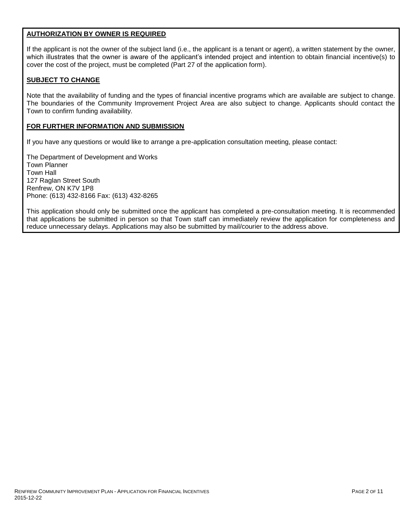#### **AUTHORIZATION BY OWNER IS REQUIRED**

If the applicant is not the owner of the subject land (i.e., the applicant is a tenant or agent), a written statement by the owner, which illustrates that the owner is aware of the applicant's intended project and intention to obtain financial incentive(s) to cover the cost of the project, must be completed (Part 27 of the application form).

#### **SUBJECT TO CHANGE**

Note that the availability of funding and the types of financial incentive programs which are available are subject to change. The boundaries of the Community Improvement Project Area are also subject to change. Applicants should contact the Town to confirm funding availability.

# **FOR FURTHER INFORMATION AND SUBMISSION**

If you have any questions or would like to arrange a pre-application consultation meeting, please contact:

The Department of Development and Works Town Planner Town Hall 127 Raglan Street South Renfrew, ON K7V 1P8 Phone: (613) 432-8166 Fax: (613) 432-8265

This application should only be submitted once the applicant has completed a pre-consultation meeting. It is recommended that applications be submitted in person so that Town staff can immediately review the application for completeness and reduce unnecessary delays. Applications may also be submitted by mail/courier to the address above.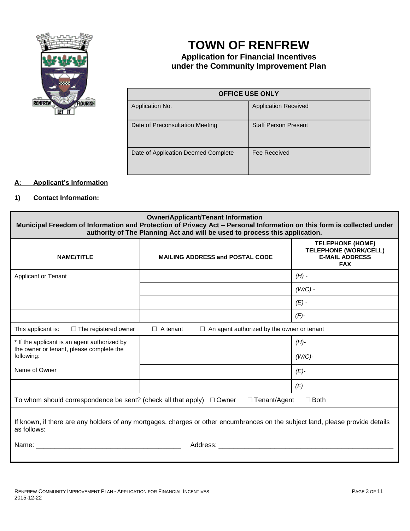

# **TOWN OF RENFREW**

# **Application for Financial Incentives under the Community Improvement Plan**

| <b>OFFICE USE ONLY</b>              |                             |  |
|-------------------------------------|-----------------------------|--|
| Application No.                     | <b>Application Received</b> |  |
| Date of Preconsultation Meeting     | <b>Staff Person Present</b> |  |
| Date of Application Deemed Complete | Fee Received                |  |

# **A: Applicant's Information**

# **1) Contact Information:**

| <b>Owner/Applicant/Tenant Information</b><br>Municipal Freedom of Information and Protection of Privacy Act - Personal Information on this form is collected under<br>authority of The Planning Act and will be used to process this application. |                                        |                                                                                                |
|---------------------------------------------------------------------------------------------------------------------------------------------------------------------------------------------------------------------------------------------------|----------------------------------------|------------------------------------------------------------------------------------------------|
| <b>NAME/TITLE</b>                                                                                                                                                                                                                                 | <b>MAILING ADDRESS and POSTAL CODE</b> | <b>TELEPHONE (HOME)</b><br><b>TELEPHONE (WORK/CELL)</b><br><b>E-MAIL ADDRESS</b><br><b>FAX</b> |
| <b>Applicant or Tenant</b>                                                                                                                                                                                                                        |                                        | $(H)$ -                                                                                        |
|                                                                                                                                                                                                                                                   |                                        | $(W/C)$ -                                                                                      |
|                                                                                                                                                                                                                                                   |                                        | $(E)$ -                                                                                        |
|                                                                                                                                                                                                                                                   |                                        | $(F)$ -                                                                                        |
| This applicant is:<br>$\Box$ An agent authorized by the owner or tenant<br>$\Box$ The registered owner<br>$\Box$ A tenant                                                                                                                         |                                        |                                                                                                |
| * If the applicant is an agent authorized by                                                                                                                                                                                                      |                                        | $(H)$ -                                                                                        |
| the owner or tenant, please complete the<br>following:                                                                                                                                                                                            |                                        | $(W/C)$ -                                                                                      |
| Name of Owner                                                                                                                                                                                                                                     |                                        | $(E)-$                                                                                         |
|                                                                                                                                                                                                                                                   |                                        | (F)                                                                                            |
| $\Box$ Tenant/Agent<br>To whom should correspondence be sent? (check all that apply) $\Box$ Owner<br>$\Box$ Both                                                                                                                                  |                                        |                                                                                                |
| If known, if there are any holders of any mortgages, charges or other encumbrances on the subject land, please provide details<br>as follows:                                                                                                     |                                        |                                                                                                |
| Name:<br>Address: Andreas Address Andrew Marine Street Address and America Address Andrew Marine Street Architecture and A                                                                                                                        |                                        |                                                                                                |
|                                                                                                                                                                                                                                                   |                                        |                                                                                                |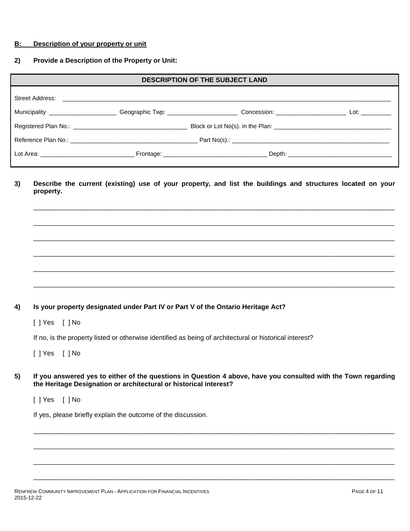#### **B: Description of your property or unit**

# **2) Provide a Description of the Property or Unit:**

| <b>DESCRIPTION OF THE SUBJECT LAND</b>                                                                                                                                                                                         |  |                                                                                                                                                                                                                                |  |
|--------------------------------------------------------------------------------------------------------------------------------------------------------------------------------------------------------------------------------|--|--------------------------------------------------------------------------------------------------------------------------------------------------------------------------------------------------------------------------------|--|
| Street Address:                                                                                                                                                                                                                |  |                                                                                                                                                                                                                                |  |
|                                                                                                                                                                                                                                |  | Concession: _________________________________ Lot: ____________                                                                                                                                                                |  |
| Registered Plan No.: \\contact \\contact \\contact \\contact \\contact \\contact \\contact \\contact \\contact \\contact \\contact \\contact \\contact \\contact \\contact \\contact \\contact \\contact \\contact \\contact \ |  |                                                                                                                                                                                                                                |  |
|                                                                                                                                                                                                                                |  |                                                                                                                                                                                                                                |  |
|                                                                                                                                                                                                                                |  | Depth: the contract of the contract of the contract of the contract of the contract of the contract of the contract of the contract of the contract of the contract of the contract of the contract of the contract of the con |  |

**3) Describe the current (existing) use of your property, and list the buildings and structures located on your property.**

\_\_\_\_\_\_\_\_\_\_\_\_\_\_\_\_\_\_\_\_\_\_\_\_\_\_\_\_\_\_\_\_\_\_\_\_\_\_\_\_\_\_\_\_\_\_\_\_\_\_\_\_\_\_\_\_\_\_\_\_\_\_\_\_\_\_\_\_\_\_\_\_\_\_\_\_\_\_\_\_\_\_\_\_\_\_\_\_\_\_\_\_\_\_\_\_\_

\_\_\_\_\_\_\_\_\_\_\_\_\_\_\_\_\_\_\_\_\_\_\_\_\_\_\_\_\_\_\_\_\_\_\_\_\_\_\_\_\_\_\_\_\_\_\_\_\_\_\_\_\_\_\_\_\_\_\_\_\_\_\_\_\_\_\_\_\_\_\_\_\_\_\_\_\_\_\_\_\_\_\_\_\_\_\_\_\_\_\_\_\_\_\_\_\_

 $\Box$ 

 $\Box$ 

\_\_\_\_\_\_\_\_\_\_\_\_\_\_\_\_\_\_\_\_\_\_\_\_\_\_\_\_\_\_\_\_\_\_\_\_\_\_\_\_\_\_\_\_\_\_\_\_\_\_\_\_\_\_\_\_\_\_\_\_\_\_\_\_\_\_\_\_\_\_\_\_\_\_\_\_\_\_\_\_\_\_\_\_\_\_\_\_\_\_\_\_\_\_\_\_\_

 $\Box$ 

# **4) Is your property designated under Part IV or Part V of the Ontario Heritage Act?**

[ ] Yes [ ] No

If no, is the property listed or otherwise identified as being of architectural or historical interest?

[ ] Yes [ ] No

**5) If you answered yes to either of the questions in Question 4 above, have you consulted with the Town regarding the Heritage Designation or architectural or historical interest?** 

\_\_\_\_\_\_\_\_\_\_\_\_\_\_\_\_\_\_\_\_\_\_\_\_\_\_\_\_\_\_\_\_\_\_\_\_\_\_\_\_\_\_\_\_\_\_\_\_\_\_\_\_\_\_\_\_\_\_\_\_\_\_\_\_\_\_\_\_\_\_\_\_\_\_\_\_\_\_\_\_\_\_\_\_\_\_\_\_\_\_\_\_\_\_\_\_\_

 $\Box$ 

\_\_\_\_\_\_\_\_\_\_\_\_\_\_\_\_\_\_\_\_\_\_\_\_\_\_\_\_\_\_\_\_\_\_\_\_\_\_\_\_\_\_\_\_\_\_\_\_\_\_\_\_\_\_\_\_\_\_\_\_\_\_\_\_\_\_\_\_\_\_\_\_\_\_\_\_\_\_\_\_\_\_\_\_\_\_\_\_\_\_\_\_\_\_\_\_\_

\_\_\_\_\_\_\_\_\_\_\_\_\_\_\_\_\_\_\_\_\_\_\_\_\_\_\_\_\_\_\_\_\_\_\_\_\_\_\_\_\_\_\_\_\_\_\_\_\_\_\_\_\_\_\_\_\_\_\_\_\_\_\_\_\_\_\_\_\_\_\_\_\_\_\_\_\_\_\_\_\_\_\_\_\_\_\_\_\_\_\_\_\_\_\_\_\_

[ ] Yes [ ] No

If yes, please briefly explain the outcome of the discussion.

RENFREW COMMUNITY IMPROVEMENT PLAN - APPLICATION FOR FINANCIAL INCENTIVES 2015-12-22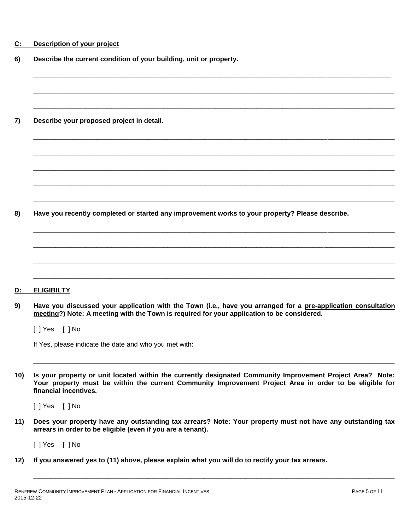| Description of your project<br>C: |  |
|-----------------------------------|--|
|-----------------------------------|--|

**6) Describe the current condition of your building, unit or property.**

**7) Describe your proposed project in detail.**

**8) Have you recently completed or started any improvement works to your property? Please describe.**

**D: ELIGIBILTY**

**9) Have you discussed your application with the Town (i.e., have you arranged for a pre-application consultation meeting?) Note: A meeting with the Town is required for your application to be considered.**

\_\_\_\_\_\_\_\_\_\_\_\_\_\_\_\_\_\_\_\_\_\_\_\_\_\_\_\_\_\_\_\_\_\_\_\_\_\_\_\_\_\_\_\_\_\_\_\_\_\_\_\_\_\_\_\_\_\_\_\_\_\_\_\_\_\_\_\_\_\_\_\_\_\_\_\_\_\_\_\_\_\_\_\_\_\_\_\_\_\_\_\_\_\_\_\_

 $\Box$ 

\_\_\_\_\_\_\_\_\_\_\_\_\_\_\_\_\_\_\_\_\_\_\_\_\_\_\_\_\_\_\_\_\_\_\_\_\_\_\_\_\_\_\_\_\_\_\_\_\_\_\_\_\_\_\_\_\_\_\_\_\_\_\_\_\_\_\_\_\_\_\_\_\_\_\_\_\_\_\_\_\_\_\_\_\_\_\_\_\_\_\_\_\_\_\_\_\_

 $\Box \rightarrow \Box$ 

\_\_\_\_\_\_\_\_\_\_\_\_\_\_\_\_\_\_\_\_\_\_\_\_\_\_\_\_\_\_\_\_\_\_\_\_\_\_\_\_\_\_\_\_\_\_\_\_\_\_\_\_\_\_\_\_\_\_\_\_\_\_\_\_\_\_\_\_\_\_\_\_\_\_\_\_\_\_\_\_\_\_\_\_\_\_\_\_\_\_\_\_\_\_\_\_\_

\_\_\_\_\_\_\_\_\_\_\_\_\_\_\_\_\_\_\_\_\_\_\_\_\_\_\_\_\_\_\_\_\_\_\_\_\_\_\_\_\_\_\_\_\_\_\_\_\_\_\_\_\_\_\_\_\_\_\_\_\_\_\_\_\_\_\_\_\_\_\_\_\_\_\_\_\_\_\_\_\_\_\_\_\_\_\_\_\_\_\_\_\_\_\_\_\_

 $\Box$ 

\_\_\_\_\_\_\_\_\_\_\_\_\_\_\_\_\_\_\_\_\_\_\_\_\_\_\_\_\_\_\_\_\_\_\_\_\_\_\_\_\_\_\_\_\_\_\_\_\_\_\_\_\_\_\_\_\_\_\_\_\_\_\_\_\_\_\_\_\_\_\_\_\_\_\_\_\_\_\_\_\_\_\_\_\_\_\_\_\_\_\_\_\_\_\_\_\_

 $\Box \rightarrow \Box$ 

\_\_\_\_\_\_\_\_\_\_\_\_\_\_\_\_\_\_\_\_\_\_\_\_\_\_\_\_\_\_\_\_\_\_\_\_\_\_\_\_\_\_\_\_\_\_\_\_\_\_\_\_\_\_\_\_\_\_\_\_\_\_\_\_\_\_\_\_\_\_\_\_\_\_\_\_\_\_\_\_\_\_\_\_\_\_\_\_\_\_\_\_\_\_\_\_\_

 $\Box$ 

 $\Box$ 

[ ] Yes [ ] No

If Yes, please indicate the date and who you met with:

**10) Is your property or unit located within the currently designated Community Improvement Project Area? Note: Your property must be within the current Community Improvement Project Area in order to be eligible for financial incentives.** 

\_\_\_\_\_\_\_\_\_\_\_\_\_\_\_\_\_\_\_\_\_\_\_\_\_\_\_\_\_\_\_\_\_\_\_\_\_\_\_\_\_\_\_\_\_\_\_\_\_\_\_\_\_\_\_\_\_\_\_\_\_\_\_\_\_\_\_\_\_\_\_\_\_\_\_\_\_\_\_\_\_\_\_\_\_\_\_\_\_\_\_\_\_\_\_\_\_

[ ] Yes [ ] No

**11) Does your property have any outstanding tax arrears? Note: Your property must not have any outstanding tax arrears in order to be eligible (even if you are a tenant).**

\_\_\_\_\_\_\_\_\_\_\_\_\_\_\_\_\_\_\_\_\_\_\_\_\_\_\_\_\_\_\_\_\_\_\_\_\_\_\_\_\_\_\_\_\_\_\_\_\_\_\_\_\_\_\_\_\_\_\_\_\_\_\_\_\_\_\_\_\_\_\_\_\_\_\_\_\_\_\_\_\_\_\_\_\_\_\_\_\_\_\_\_\_\_\_\_\_

[ ] Yes [ ] No

**12) If you answered yes to (11) above, please explain what you will do to rectify your tax arrears.**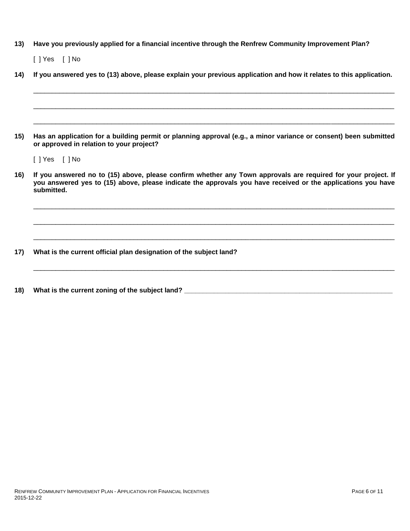# **13) Have you previously applied for a financial incentive through the Renfrew Community Improvement Plan?**

[ ] Yes [ ] No

| 14) | If you answered yes to (13) above, please explain your previous application and how it relates to this application.                                                                                                                         |  |  |  |
|-----|---------------------------------------------------------------------------------------------------------------------------------------------------------------------------------------------------------------------------------------------|--|--|--|
|     |                                                                                                                                                                                                                                             |  |  |  |
| 15) | Has an application for a building permit or planning approval (e.g., a minor variance or consent) been submitted<br>or approved in relation to your project?                                                                                |  |  |  |
|     | $[$ ] Yes $[$ ] No                                                                                                                                                                                                                          |  |  |  |
| 16) | If you answered no to (15) above, please confirm whether any Town approvals are required for your project. If<br>you answered yes to (15) above, please indicate the approvals you have received or the applications you have<br>submitted. |  |  |  |
|     |                                                                                                                                                                                                                                             |  |  |  |
| 17) | What is the current official plan designation of the subject land?                                                                                                                                                                          |  |  |  |

**18) What is the current zoning of the subject land? \_\_\_\_\_\_\_\_\_\_\_\_\_\_\_\_\_\_\_\_\_\_\_\_\_\_\_\_\_\_\_\_\_\_\_\_\_\_\_\_\_\_\_\_\_\_\_\_\_\_\_\_\_\_\_\_**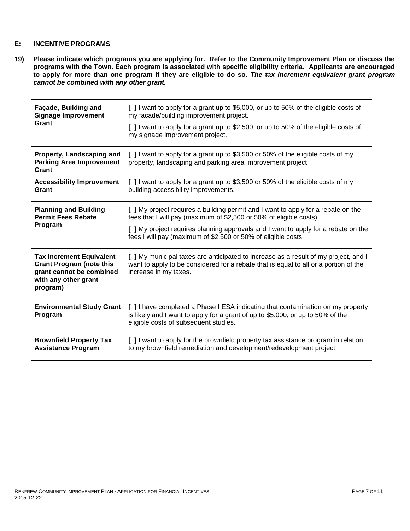# **E: INCENTIVE PROGRAMS**

**19) Please indicate which programs you are applying for. Refer to the Community Improvement Plan or discuss the programs with the Town. Each program is associated with specific eligibility criteria. Applicants are encouraged to apply for more than one program if they are eligible to do so.** *The tax increment equivalent grant program cannot be combined with any other grant.*

| Façade, Building and<br><b>Signage Improvement</b><br>Grant                                                                        | [ ] I want to apply for a grant up to \$5,000, or up to 50% of the eligible costs of<br>my facade/building improvement project.<br>[ ] I want to apply for a grant up to \$2,500, or up to 50% of the eligible costs of<br>my signage improvement project.                                                     |
|------------------------------------------------------------------------------------------------------------------------------------|----------------------------------------------------------------------------------------------------------------------------------------------------------------------------------------------------------------------------------------------------------------------------------------------------------------|
| Property, Landscaping and<br><b>Parking Area Improvement</b><br>Grant                                                              | [ ] I want to apply for a grant up to \$3,500 or 50% of the eligible costs of my<br>property, landscaping and parking area improvement project.                                                                                                                                                                |
| <b>Accessibility Improvement</b><br>Grant                                                                                          | [ ] I want to apply for a grant up to \$3,500 or 50% of the eligible costs of my<br>building accessibility improvements.                                                                                                                                                                                       |
| <b>Planning and Building</b><br><b>Permit Fees Rebate</b><br>Program                                                               | [ ] My project requires a building permit and I want to apply for a rebate on the<br>fees that I will pay (maximum of \$2,500 or 50% of eligible costs)<br>[ ] My project requires planning approvals and I want to apply for a rebate on the<br>fees I will pay (maximum of \$2,500 or 50% of eligible costs. |
| <b>Tax Increment Equivalent</b><br><b>Grant Program (note this</b><br>grant cannot be combined<br>with any other grant<br>program) | [ ] My municipal taxes are anticipated to increase as a result of my project, and I<br>want to apply to be considered for a rebate that is equal to all or a portion of the<br>increase in my taxes.                                                                                                           |
| <b>Environmental Study Grant</b><br>Program                                                                                        | [ ] I have completed a Phase I ESA indicating that contamination on my property<br>is likely and I want to apply for a grant of up to \$5,000, or up to 50% of the<br>eligible costs of subsequent studies.                                                                                                    |
| <b>Brownfield Property Tax</b><br><b>Assistance Program</b>                                                                        | [ ] I want to apply for the brownfield property tax assistance program in relation<br>to my brownfield remediation and development/redevelopment project.                                                                                                                                                      |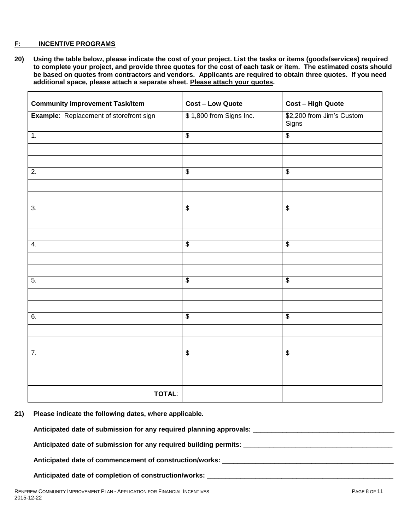#### **F: INCENTIVE PROGRAMS**

**20) Using the table below, please indicate the cost of your project. List the tasks or items (goods/services) required to complete your project, and provide three quotes for the cost of each task or item. The estimated costs should be based on quotes from contractors and vendors. Applicants are required to obtain three quotes. If you need additional space, please attach a separate sheet. Please attach your quotes.**

| <b>Community Improvement Task/Item</b>  | <b>Cost - Low Quote</b>  | <b>Cost - High Quote</b>           |
|-----------------------------------------|--------------------------|------------------------------------|
| Example: Replacement of storefront sign | \$1,800 from Signs Inc.  | \$2,200 from Jim's Custom<br>Signs |
| 1.                                      | $\overline{\mathbf{S}}$  | $\overline{\mathbf{S}}$            |
|                                         |                          |                                    |
|                                         |                          |                                    |
| $\overline{2}$ .                        | $\overline{\mathbf{e}}$  | $\overline{\mathbf{e}}$            |
|                                         |                          |                                    |
|                                         |                          |                                    |
| 3.                                      | $\overline{\mathbf{S}}$  | $\overline{\mathbf{S}}$            |
|                                         |                          |                                    |
|                                         |                          |                                    |
| 4.                                      | $\overline{\mathcal{S}}$ | $\overline{\$}$                    |
|                                         |                          |                                    |
|                                         |                          |                                    |
| 5.                                      | $\overline{\$}$          | $\overline{\$}$                    |
|                                         |                          |                                    |
|                                         |                          |                                    |
| 6.                                      | $\overline{\mathcal{S}}$ | $\overline{\mathbf{e}}$            |
|                                         |                          |                                    |
|                                         |                          |                                    |
| $\overline{7}$ .                        | $\overline{\mathcal{S}}$ | $\overline{\mathcal{L}}$           |
|                                         |                          |                                    |
|                                         |                          |                                    |
| <b>TOTAL:</b>                           |                          |                                    |

**21) Please indicate the following dates, where applicable.**

**Anticipated date of submission for any required planning approvals:** \_\_\_\_\_\_\_\_\_\_\_\_\_\_\_\_\_\_\_\_\_\_\_\_\_\_\_\_\_\_\_\_\_\_\_\_\_\_

**Anticipated date of submission for any required building permits:** \_\_\_\_\_\_\_\_\_\_\_\_\_\_\_\_\_\_\_\_\_\_\_\_\_\_\_\_\_\_\_\_\_\_\_\_\_\_\_\_

**Anticipated date of commencement of construction/works:** \_\_\_\_\_\_\_\_\_\_\_\_\_\_\_\_\_\_\_\_\_\_\_\_\_\_\_\_\_\_\_\_\_\_\_\_\_\_\_\_\_\_\_\_\_\_

# **Anticipated date of completion of construction/works:** \_\_\_\_\_\_\_\_\_\_\_\_\_\_\_\_\_\_\_\_\_\_\_\_\_\_\_\_\_\_\_\_\_\_\_\_\_\_\_\_\_\_\_\_\_\_\_\_\_\_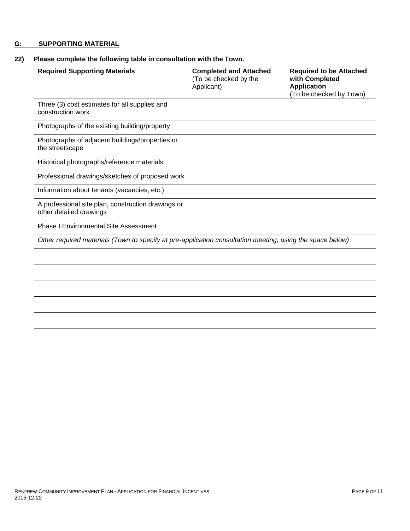# **G: SUPPORTING MATERIAL**

# **22) Please complete the following table in consultation with the Town.**

| <b>Required Supporting Materials</b>                                                                      | <b>Completed and Attached</b><br>(To be checked by the<br>Applicant) | <b>Required to be Attached</b><br>with Completed<br><b>Application</b><br>(To be checked by Town) |
|-----------------------------------------------------------------------------------------------------------|----------------------------------------------------------------------|---------------------------------------------------------------------------------------------------|
| Three (3) cost estimates for all supplies and<br>construction work                                        |                                                                      |                                                                                                   |
| Photographs of the existing building/property                                                             |                                                                      |                                                                                                   |
| Photographs of adjacent buildings/properties or<br>the streetscape                                        |                                                                      |                                                                                                   |
| Historical photographs/reference materials                                                                |                                                                      |                                                                                                   |
| Professional drawings/sketches of proposed work                                                           |                                                                      |                                                                                                   |
| Information about tenants (vacancies, etc.)                                                               |                                                                      |                                                                                                   |
| A professional site plan, construction drawings or<br>other detailed drawings                             |                                                                      |                                                                                                   |
| <b>Phase I Environmental Site Assessment</b>                                                              |                                                                      |                                                                                                   |
| Other required materials (Town to specify at pre-application consultation meeting, using the space below) |                                                                      |                                                                                                   |
|                                                                                                           |                                                                      |                                                                                                   |
|                                                                                                           |                                                                      |                                                                                                   |
|                                                                                                           |                                                                      |                                                                                                   |
|                                                                                                           |                                                                      |                                                                                                   |
|                                                                                                           |                                                                      |                                                                                                   |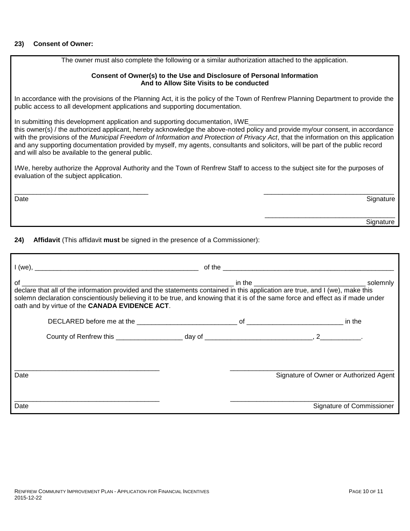#### **23) Consent of Owner:**

The owner must also complete the following or a similar authorization attached to the application.

#### **Consent of Owner(s) to the Use and Disclosure of Personal Information And to Allow Site Visits to be conducted**

In accordance with the provisions of the Planning Act, it is the policy of the Town of Renfrew Planning Department to provide the public access to all development applications and supporting documentation.

In submitting this development application and supporting documentation, I/WE

this owner(s) / the authorized applicant, hereby acknowledge the above-noted policy and provide my/our consent, in accordance with the provisions of the *Municipal Freedom of Information and Protection of Privacy Act*, that the information on this application and any supporting documentation provided by myself, my agents, consultants and solicitors, will be part of the public record and will also be available to the general public.

I/We, hereby authorize the Approval Authority and the Town of Renfrew Staff to access to the subject site for the purposes of evaluation of the subject application.

\_\_\_\_\_\_\_\_\_\_\_\_\_\_\_\_\_\_\_\_\_\_\_\_\_\_\_\_\_\_\_\_\_\_\_\_ \_\_\_\_\_\_\_\_\_\_\_\_\_\_\_\_\_\_\_\_\_\_\_\_\_\_\_\_\_\_\_\_\_\_\_ Date and the Signature of the Signature of the Signature of the Signature of the Signature of the Signature of the Signature of the Signature of the Signature of the Signature of the Signature of the Signature of the Signa

|  | ________ |
|--|----------|
|  |          |

**24) Affidavit** (This affidavit **must** be signed in the presence of a Commissioner):

| solemn declaration conscientiously believing it to be true, and knowing that it is of the same force and effect as if made under<br>oath and by virtue of the CANADA EVIDENCE ACT. |  |                                        |
|------------------------------------------------------------------------------------------------------------------------------------------------------------------------------------|--|----------------------------------------|
|                                                                                                                                                                                    |  |                                        |
|                                                                                                                                                                                    |  |                                        |
| Date                                                                                                                                                                               |  | Signature of Owner or Authorized Agent |
| Date                                                                                                                                                                               |  | Signature of Commissioner              |